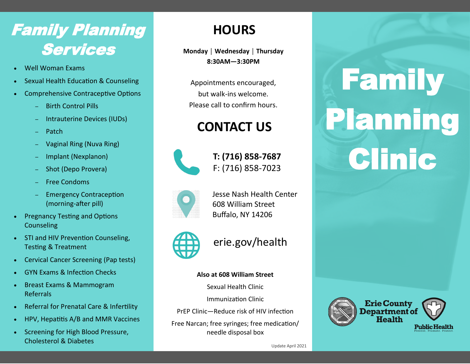## Family Planning Services **Monday │ Wednesday │ Thursday**

- Well Woman Exams
- Sexual Health Education & Counseling
- Comprehensive Contraceptive Options
	- ─ Birth Control Pills
	- ─ Intrauterine Devices (IUDs)
	- ─ Patch
	- ─ Vaginal Ring (Nuva Ring)
	- ─ Implant (Nexplanon)
	- ─ Shot (Depo Provera)
	- ─ Free Condoms
	- Emergency Contraception (morning-after pill)
- Pregnancy Testing and Options Counseling
- STI and HIV Prevention Counseling, Testing & Treatment
- Cervical Cancer Screening (Pap tests)
- GYN Exams & Infection Checks
- Breast Exams & Mammogram Referrals
- Referral for Prenatal Care & Infertility
- HPV, Hepatitis A/B and MMR Vaccines
- Screening for High Blood Pressure, Cholesterol & Diabetes

### **HOURS**

**8:30AM—3:30PM**

Appointments encouraged, but walk-ins welcome. Please call to confirm hours.

## **CONTACT US**



**T: (716) 858-7687** F: (716) 858-7023



Jesse Nash Health Center 608 William Street Buffalo, NY 14206



erie.gov/health

#### **Also at 608 William Street**

Sexual Health Clinic

Immunization Clinic

PrEP Clinic—Reduce risk of HIV infection

Free Narcan; free syringes; free medication/ needle disposal box

# Family Planning Clinic